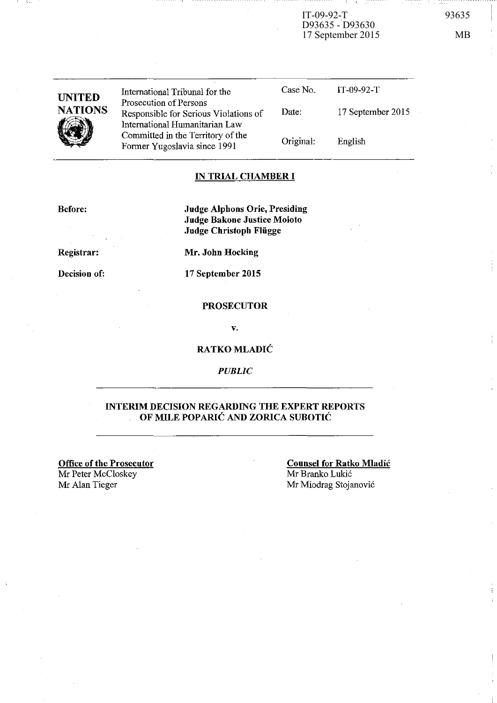IT-09-92-T 93635 D93635 - D93630 17 September 2015 MB

| <b>UNITED</b>  | International Tribunal for the                                                                    | Case No.  | IT-09-92-T        |
|----------------|---------------------------------------------------------------------------------------------------|-----------|-------------------|
| <b>NATIONS</b> | Prosecution of Persons<br>Responsible for Serious Violations of<br>International Humanitarian Law | Date:     | 17 September 2015 |
|                | Committed in the Territory of the<br>Former Yugoslavia since 1991                                 | Original: | English           |

### **IN TRIAL CHAMBER I**

**Before:** 

 $-1$  l\_

**Judge Alphons Orie, Presiding Judge Bakone Justice Moloto Judge Christoph Fliigge** 

**Registrar:** 

**Decision of:** 

**Mr. John Hocking** 

**17 September 2015** 

#### **PROSECUTOR**

v.

#### **RATKO MLADIC**

*PUBLIC* 

#### **INTERIM DECISION REGARDING THE EXPERT REPORTS OF MILE POPARIĆ AND ZORICA SUBOTIĆ**

**Office of the Prosecutor**  Mr Peter McCloskey Mr Alan Tieger

**Counsel for Ratko Mladic**  Mr Branko Lukic Mr Miodrag Stojanovic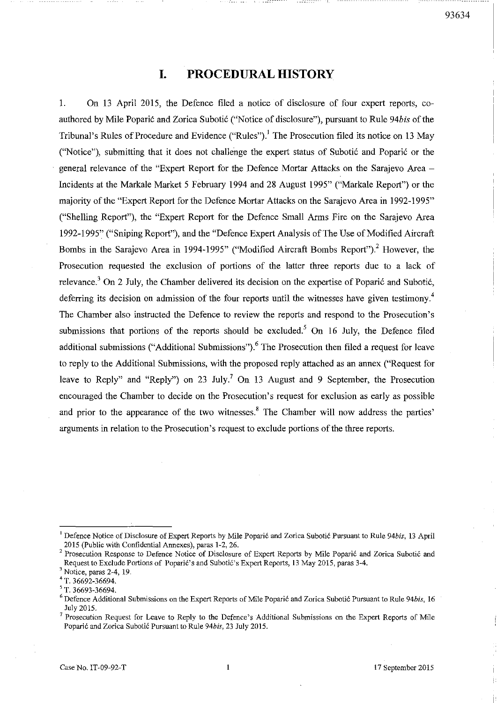# **I. PROCEDURAL HISTORY**

1. On 13 April 2015, the Defence filed a notice of disclosure of four expert reports, coauthored by Mile Poparic and Zorica Suboti6 ("Notice of disclosure"), pursuant to Rule *94bis* of the Tribunal's Rules of Procedure and Evidence ("Rules").! The Prosecution filed its notice on 13 May ("Notice"), submitting that it does not challenge the expert status of Subotić and Poparić or the general relevance of the "Expert Report for the Defence Mortar Attacks on the Sarajevo Area - Incidents at the Markale Market 5 February 1994 and 28 August 1995" ("Markale Report") or the majority of the "Expert Report for the Defence Mortar Attacks on the Sarajevo Area in 1992-1995" ("Shelling Report"), the "Expert Report for the Defence Small Arms Fire on the Sarajevo Area 1992-1995" ("Sniping Report"), and the "Defence Expert Analysis of The Use of Modified Aircraft Bombs in the Sarajevo Area in 1994-1995" ("Modified Aircraft Bombs Report").<sup>2</sup> However, the Prosecution requested the exclusion of portions of the latter three reports due to a lack of relevance.<sup>3</sup> On 2 July, the Chamber delivered its decision on the expertise of Poparić and Subotić, deferring its decision on admission of the four reports until the witnesses have given testimony.<sup>4</sup> The Chamber also instructed the Defence to review the reports and respond to the Prosecution's submissions that portions of the reports should be excluded.<sup>5</sup> On 16 July, the Defence filed additional submissions ("Additional Submissions").<sup>6</sup> The Prosecution then filed a request for leave to reply to the Additional Submissions, with the proposed reply attached as an annex ("Request for leave to Reply" and "Reply") on 23 July.<sup>7</sup> On 13 August and 9 September, the Prosecution encouraged the Chamber to decide on the Prosecution's request for exclusion as early as possible and prior to the appearance of the two witnesses.<sup>8</sup> The Chamber will now address the parties' arguments in relation to the Prosecution's request to exclude portions of the three reports.

<sup>&</sup>lt;sup>1</sup> Defence Notice of Disclosure of Expert Reports by Mile Poparic and Zorica Subotic Pursuant to Rule 94bis, 13 April 2015 (Public with Confidential Annexes), paras 1-2, 26.

<sup>&</sup>lt;sup>2</sup> Prosecution Response to Defence Notice of Disclosure of Expert Reports by Mile Poparić and Zorica Subotić and Request to Exclude Portions of Poparić's and Subotić's Expert Reports, 13 May 2015, paras 3-4.

<sup>3</sup>**Notice, paras 2-4, 19.** 

<sup>4</sup> T. 36692-36694.

<sup>5</sup> T. 36693-36694.

<sup>6</sup>**Defence Additional Submissions on the Expert Reports of Mile Poparic and Zorica Subotic Pursuant to Rule** *94bis, 16*  July 2015.

<sup>7</sup>**Prosecution Request for Leave to Reply to the Defence's Additional Submissions on the Expert Reports of Mile Popari6 and Zorica Suboti6 Pursuant to Rule 94bis, 23 July 2015.**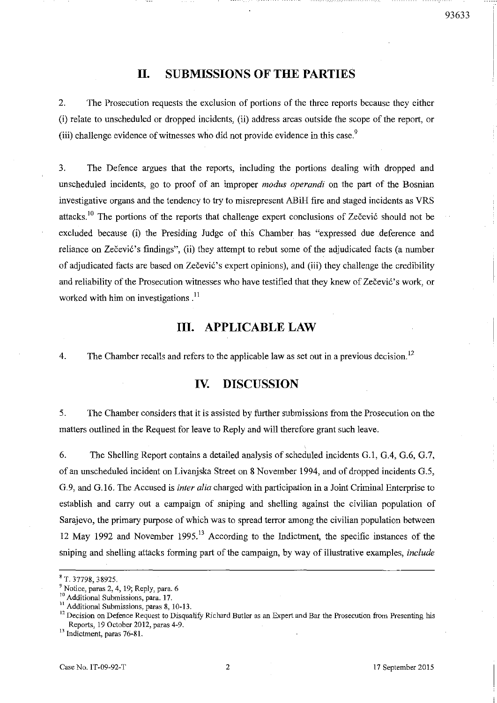# **II. SUBMISSIONS OF THE PARTIES**

2. The Prosecution requests the exclusion of portions of the three reports because they either (i) relate to unscheduled or dropped incidents, (ii) address areas outside the scope of the report, or (iii) challenge evidence of witnesses who did not provide evidence in this case.<sup>9</sup>

3. The Defence argues that the reports, including the portions dealing with dropped and unscheduled incidents, go to proof of an improper *modus operandi* on the part of the Bosnian investigative organs and the tendency to try to misrepresent ABiH fire and staged incidents as VRS attacks.<sup>10</sup> The portions of the reports that challenge expert conclusions of Zečević should not be excluded because (i) the Presiding Judge of this Chamber has "expressed due .deference and reliance on Zečević's findings", (ii) they attempt to rebut some of the adjudicated facts (a number of adjudicated facts are based on Zecevi6's expert opinions), and (iii) they challenge the credibility and reliability of the Prosecution witnesses who have testified that they knew of Zečević's work, or worked with him on investigations. $^{11}$ 

### **III. APPLICABLE LAW**

4. The Chamber recalls and refers to the applicable law as set out in a previous decision.<sup>12</sup>

## **IV. DISCUSSION**

5. The Chamber considers that it is assisted by further submissions from the Prosecution on the matters outlined in the Request for leave to Reply and will therefore grant such leave.

6. The Shelling Report contains a detailed analysis of scheduled incidents G.!, G.4, G.6, G.7, of an unscheduled incident on Livanjska Street on 8 November 1994, and of dropped incidents G.5, G.9, and G.16. The Accused is *inter alia* charged with participation in a Joint Criminal Enterprise to establish and carry out a campaign of sniping and shelling against the civilian population of Sarajevo, the primary purpose of which was to spread terror among the civilian population between 12 May 1992 and November 1995.<sup>13</sup> According to the Indictment, the specific instances of the sniping and shelling attacks forming part of the campaign, by way of illustrative examples, *include* 

<sup>&</sup>quot;T. 37798,38925.

<sup>9</sup>**Notice, paras 2, 4, 19; Reply, para. 6** 

<sup>&</sup>lt;sup>10</sup> Additional Submissions, para. 17.

**II Additional Submissions, paras 8, 10-13.** 

<sup>&</sup>lt;sup>12</sup> Decision on Defence Request to Disqualify Richard Butler as an Expert and Bar the Prosecution from Presenting his Reports, 19 October *2012,* paras 4-9.

**<sup>13</sup> Indictment, paras 76-81.**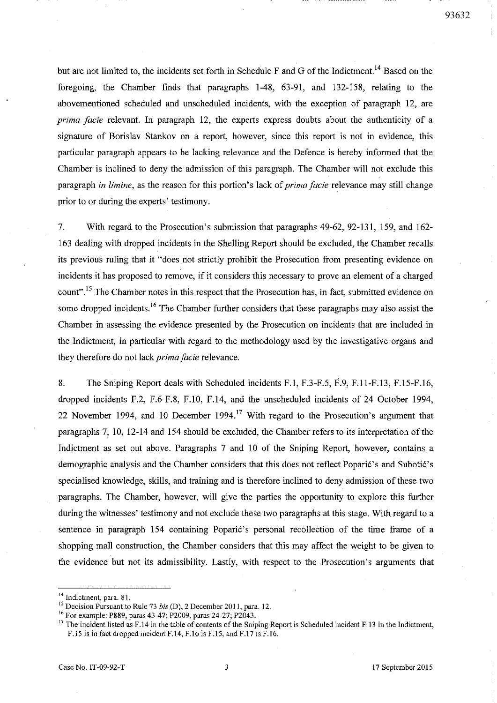93632

but are not limited to, the incidents set forth in Schedule F and G of the Indictment.<sup>14</sup> Based on the foregoing, the Chamber finds that paragraphs 1-48, 63-91, and 132-158, relating to the abovementioned scheduled and unscheduled incidents, with the exception of paragraph 12, are *prima facie* relevant. In paragraph 12, the experts express doubts about the authenticity of a signature of Borislav Stankov on a report, however, since this report is not in evidence, this particular paragraph appears to be lacking relevance and the Defence is hereby infonned that the Chamber is inclined to deny the admission of this paragraph. The Chamber will not exclude this paragraph *in limine*, as the reason for this portion's lack of *prima facie* relevance may still change prior to or during the experts' testimony.

7. With regard to the Prosecution's submission that paragraphs 49-62,92-131, 159, and 162- 163 dealing with dropped incidents in the Shelling Report should be excluded, the Chamber recalls its previous ruling that it "does not strictly prohibit the Prosecution from presenting evidence on incidents it has proposed to remove, if it considers this necessary to prove an element of a charged count".<sup>15</sup> The Chamber notes in this respect that the Prosecution has, in fact, submitted evidence on some dropped incidents.<sup>16</sup> The Chamber further considers that these paragraphs may also assist the Chamber in assessing the evidence presented by the Prosecution on incidents that are included in the Indictment, in particular with regard to the methodology used by the investigative organs and they therefore do not lack *prima facie* relevance.

8. The Sniping Report deals with Scheduled incidents F.l, F.3-F.5, F.9, F.ll-F.13, F.15-F.16, dropped incidents F.2, F.6-F.8, F.I0, F.14, and the unscheduled incidents of 24 October 1994, 22 November 1994, and 10 December 1994.<sup>17</sup> With regard to the Prosecution's argument that paragraphs 7, 10, 12-14 and 154 should be excluded, the Chamber refers to its interpretation of the Indictment as set out above. Paragraphs 7 and 10 of the Sniping Report, however, contains a demographic analysis and the Chamber considers that this does not reflect Poparie's and Subotie's specialised knowledge, skills, and training and is therefore inclined to deny admission of these two paragraphs. The Chamber, however, will give the parties the opportunity to explore this further during the witnesses' testimony and not exclude these two paragraphs at this stage. With regard to a sentence in paragraph 154 containing Poparie's personal recollection of the time frame of a shopping mall construction, the Chamber considers that this may affect the weight to be given to the evidence but not its admissibility. Lastly, with respect to the Prosecution's arguments that

**<sup>14</sup> Indictment, para. 8].** 

<sup>&</sup>lt;sup>15</sup> Decision Pursuant to Rule 73 *bis* (D), 2 December 2011, para. 12.

J6 For example: P889, paras 43-47; P2009, paras 24-27; P2043.

<sup>&</sup>lt;sup>17</sup> The incident listed as F.14 in the table of contents of the Sniping Report is Scheduled incident F.13 in the Indictment, F.IS is in fact dropped incident F.14, F.16 is F.1S, and F.17 is F.l6.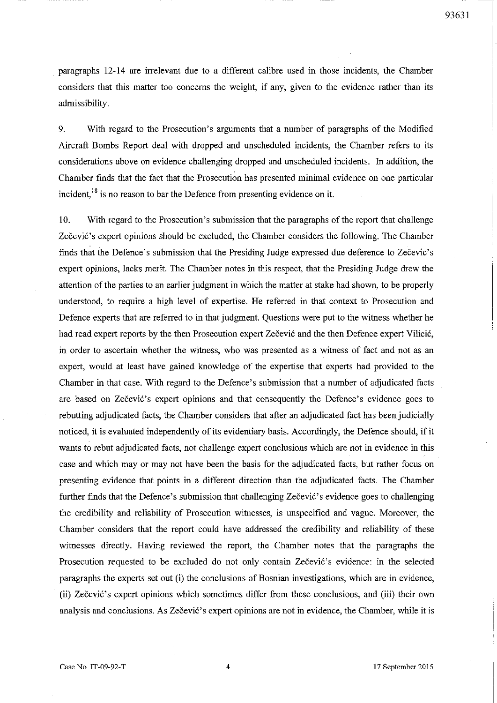paragraphs 12-14 are irrelevant due to a different calibre used in those incidents, the Chamber considers that this matter too concerns the weight, if any, given to the evidence rather than its admissibility.

9. With regard to the Prosecution's arguments that a number of paragraphs of the Modified Aircraft Bombs Report deal with dropped and unscheduled incidents, the Chamber refers to its considerations above on evidence challenging dropped and unscheduled incidents. In addition, the Chamber finds that the fact that the Prosecution has presented minimal evidence on one particular incident,<sup>18</sup> is no reason to bar the Defence from presenting evidence on it.

10. With regard to the Prosecution's submission that the paragraphs of the report that challenge Zečević's expert opinions should be excluded, the Chamber considers the following. The Chamber finds that the Defence's submission that the Presiding Judge expressed due deference to Zečevic's expert opinions, lacks merit. The Chamber notes in this respect, that the Presiding Judge drew the attention of the parties to an earlier judgment in which the matter at stake had shown, to be properly understood, to require a high level of expertise. He referred in that context to Prosecution and Defence experts that are referred to in that judgment. Questions were put to the witness whether he had read expert reports by the then Prosecution expert Zečević and the then Defence expert Vilicić, in order to ascertain whether the witness, who was presented as a witness of fact and not as an expert, would at least have gained knowledge of the expertise that experts had provided to the Chamber in that case. With regard to the Defence's submission that a number of adjudicated facts are based on Zečević's expert opinions and that consequently the Defence's evidence goes to rebutting adjudicated facts, the Chamber considers that after an adjudicated fact has been judicially noticed, it is evaluated independently of its evidentiary basis. Accordingly, the Defence should, if it wants to rebut adjudicated facts, not challenge expert conclusions which are not in evidence in this case and which mayor may not have been the basis for the adjudicated facts, but rather focus on presenting evidence that points in a different direction than the adjudicated facts. The Chamber further finds that the Defence's submission that challenging Zecevic's evidence goes to challenging the credibility and reliability of Prosecution witnesses, is unspecified and vague. Moreover, the Chamber considers that the report could have addressed the credibility and reliability of these witnesses directly. Having reviewed the report, the Chamber notes that the paragraphs the Prosecution requested to be excluded do not only contain Zečević's evidence: in the selected paragraphs the experts set out (i) the conclusions of Bosnian investigations, which are in evidence, (ii) Zečević's expert opinions which sometimes differ from these conclusions, and (iii) their own analysis and conclusions. As Zečević's expert opinions are not in evidence, the Chamber, while it is